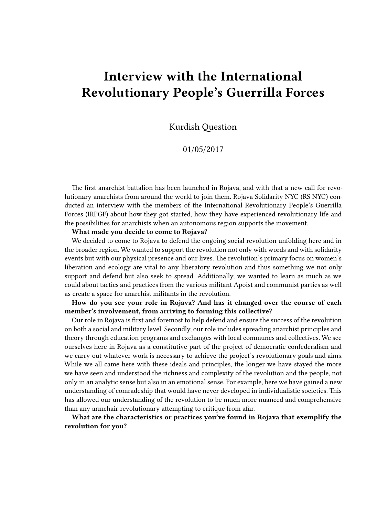# **Interview with the International Revolutionary People's Guerrilla Forces**

Kurdish Question

01/05/2017

The first anarchist battalion has been launched in Rojava, and with that a new call for revolutionary anarchists from around the world to join them. Rojava Solidarity NYC (RS NYC) conducted an interview with the members of the International Revolutionary People's Guerrilla Forces (IRPGF) about how they got started, how they have experienced revolutionary life and the possibilities for anarchists when an autonomous region supports the movement.

**What made you decide to come to Rojava?**

We decided to come to Rojava to defend the ongoing social revolution unfolding here and in the broader region. We wanted to support the revolution not only with words and with solidarity events but with our physical presence and our lives. The revolution's primary focus on women's liberation and ecology are vital to any liberatory revolution and thus something we not only support and defend but also seek to spread. Additionally, we wanted to learn as much as we could about tactics and practices from the various militant Apoist and communist parties as well as create a space for anarchist militants in the revolution.

**How do you see your role in Rojava? And has it changed over the course of each member's involvement, from arriving to forming this collective?**

Our role in Rojava is first and foremost to help defend and ensure the success of the revolution on both a social and military level. Secondly, our role includes spreading anarchist principles and theory through education programs and exchanges with local communes and collectives. We see ourselves here in Rojava as a constitutive part of the project of democratic confederalism and we carry out whatever work is necessary to achieve the project's revolutionary goals and aims. While we all came here with these ideals and principles, the longer we have stayed the more we have seen and understood the richness and complexity of the revolution and the people, not only in an analytic sense but also in an emotional sense. For example, here we have gained a new understanding of comradeship that would have never developed in individualistic societies. This has allowed our understanding of the revolution to be much more nuanced and comprehensive than any armchair revolutionary attempting to critique from afar.

**What are the characteristics or practices you've found in Rojava that exemplify the revolution for you?**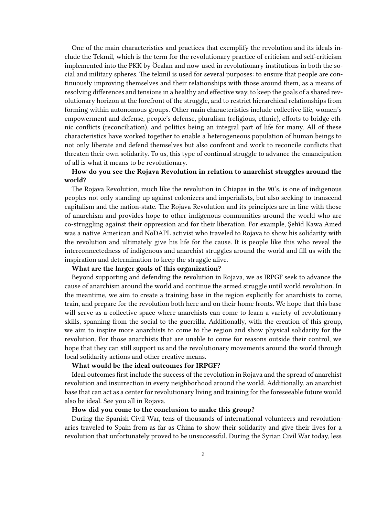One of the main characteristics and practices that exemplify the revolution and its ideals include the Tekmil, which is the term for the revolutionary practice of criticism and self-criticism implemented into the PKK by Öcalan and now used in revolutionary institutions in both the social and military spheres. The tekmil is used for several purposes: to ensure that people are continuously improving themselves and their relationships with those around them, as a means of resolving differences and tensions in a healthy and effective way, to keep the goals of a shared revolutionary horizon at the forefront of the struggle, and to restrict hierarchical relationships from forming within autonomous groups. Other main characteristics include collective life, women's empowerment and defense, people's defense, pluralism (religious, ethnic), efforts to bridge ethnic conflicts (reconciliation), and politics being an integral part of life for many. All of these characteristics have worked together to enable a heterogeneous population of human beings to not only liberate and defend themselves but also confront and work to reconcile conflicts that threaten their own solidarity. To us, this type of continual struggle to advance the emancipation of all is what it means to be revolutionary.

## **How do you see the Rojava Revolution in relation to anarchist struggles around the world?**

The Rojava Revolution, much like the revolution in Chiapas in the 90's, is one of indigenous peoples not only standing up against colonizers and imperialists, but also seeking to transcend capitalism and the nation-state. The Rojava Revolution and its principles are in line with those of anarchism and provides hope to other indigenous communities around the world who are co-struggling against their oppression and for their liberation. For example, Şehîd Kawa Amed was a native American and NoDAPL activist who traveled to Rojava to show his solidarity with the revolution and ultimately give his life for the cause. It is people like this who reveal the interconnectedness of indigenous and anarchist struggles around the world and fill us with the inspiration and determination to keep the struggle alive.

#### **What are the larger goals of this organization?**

Beyond supporting and defending the revolution in Rojava, we as IRPGF seek to advance the cause of anarchism around the world and continue the armed struggle until world revolution. In the meantime, we aim to create a training base in the region explicitly for anarchists to come, train, and prepare for the revolution both here and on their home fronts. We hope that this base will serve as a collective space where anarchists can come to learn a variety of revolutionary skills, spanning from the social to the guerrilla. Additionally, with the creation of this group, we aim to inspire more anarchists to come to the region and show physical solidarity for the revolution. For those anarchists that are unable to come for reasons outside their control, we hope that they can still support us and the revolutionary movements around the world through local solidarity actions and other creative means.

#### **What would be the ideal outcomes for IRPGF?**

Ideal outcomes first include the success of the revolution in Rojava and the spread of anarchist revolution and insurrection in every neighborhood around the world. Additionally, an anarchist base that can act as a center for revolutionary living and training for the foreseeable future would also be ideal. See you all in Rojava.

#### **How did you come to the conclusion to make this group?**

During the Spanish Civil War, tens of thousands of international volunteers and revolutionaries traveled to Spain from as far as China to show their solidarity and give their lives for a revolution that unfortunately proved to be unsuccessful. During the Syrian Civil War today, less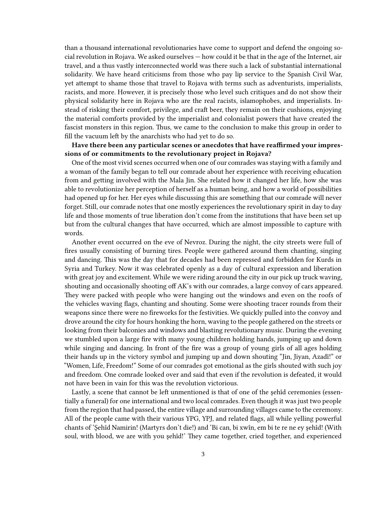than a thousand international revolutionaries have come to support and defend the ongoing social revolution in Rojava. We asked ourselves — how could it be that in the age of the Internet, air travel, and a thus vastly interconnected world was there such a lack of substantial international solidarity. We have heard criticisms from those who pay lip service to the Spanish Civil War, yet attempt to shame those that travel to Rojava with terms such as adventurists, imperialists, racists, and more. However, it is precisely those who level such critiques and do not show their physical solidarity here in Rojava who are the real racists, islamophobes, and imperialists. Instead of risking their comfort, privilege, and craft beer, they remain on their cushions, enjoying the material comforts provided by the imperialist and colonialist powers that have created the fascist monsters in this region. Thus, we came to the conclusion to make this group in order to fill the vacuum left by the anarchists who had yet to do so.

## **Have there been any particular scenes or anecdotes that have reaffirmed your impressions of or commitments to the revolutionary project in Rojava?**

One of the most vivid scenes occurred when one of our comrades was staying with a family and a woman of the family began to tell our comrade about her experience with receiving education from and getting involved with the Mala Jin. She related how it changed her life, how she was able to revolutionize her perception of herself as a human being, and how a world of possibilities had opened up for her. Her eyes while discussing this are something that our comrade will never forget. Still, our comrade notes that one mostly experiences the revolutionary spirit in day to day life and those moments of true liberation don't come from the institutions that have been set up but from the cultural changes that have occurred, which are almost impossible to capture with words.

Another event occurred on the eve of Nevroz. During the night, the city streets were full of fires usually consisting of burning tires. People were gathered around them chanting, singing and dancing. This was the day that for decades had been repressed and forbidden for Kurds in Syria and Turkey. Now it was celebrated openly as a day of cultural expression and liberation with great joy and excitement. While we were riding around the city in our pick up truck waving, shouting and occasionally shooting off AK's with our comrades, a large convoy of cars appeared. They were packed with people who were hanging out the windows and even on the roofs of the vehicles waving flags, chanting and shouting. Some were shooting tracer rounds from their weapons since there were no fireworks for the festivities. We quickly pulled into the convoy and drove around the city for hours honking the horn, waving to the people gathered on the streets or looking from their balconies and windows and blasting revolutionary music. During the evening we stumbled upon a large fire with many young children holding hands, jumping up and down while singing and dancing. In front of the fire was a group of young girls of all ages holding their hands up in the victory symbol and jumping up and down shouting "Jin, Jiyan, Azadî!" or "Women, Life, Freedom!" Some of our comrades got emotional as the girls shouted with such joy and freedom. One comrade looked over and said that even if the revolution is defeated, it would not have been in vain for this was the revolution victorious.

Lastly, a scene that cannot be left unmentioned is that of one of the şehîd ceremonies (essentially a funeral) for one international and two local comrades. Even though it was just two people from the region that had passed, the entire village and surrounding villages came to the ceremony. All of the people came with their various YPG, YPJ, and related flags, all while yelling powerful chants of 'Şehîd Namirin! (Martyrs don't die!) and 'Bi can, bi xwîn, em bi te re ne ey şehîd! (With soul, with blood, we are with you şehîd!' They came together, cried together, and experienced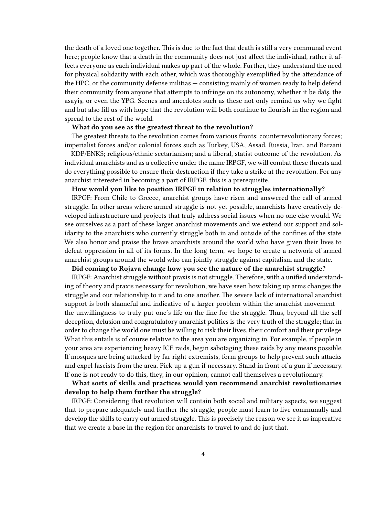the death of a loved one together. This is due to the fact that death is still a very communal event here; people know that a death in the community does not just affect the individual, rather it affects everyone as each individual makes up part of the whole. Further, they understand the need for physical solidarity with each other, which was thoroughly exemplified by the attendance of the HPC, or the community defense militias — consisting mainly of women ready to help defend their community from anyone that attempts to infringe on its autonomy, whether it be daîş, the asayîş, or even the YPG. Scenes and anecdotes such as these not only remind us why we fight and but also fill us with hope that the revolution will both continue to flourish in the region and spread to the rest of the world.

#### **What do you see as the greatest threat to the revolution?**

The greatest threats to the revolution comes from various fronts: counterrevolutionary forces; imperialist forces and/or colonial forces such as Turkey, USA, Assad, Russia, Iran, and Barzani — KDP/ENKS; religious/ethnic sectarianism; and a liberal, statist outcome of the revolution. As individual anarchists and as a collective under the name IRPGF, we will combat these threats and do everything possible to ensure their destruction if they take a strike at the revolution. For any anarchist interested in becoming a part of IRPGF, this is a prerequisite.

## **How would you like to position IRPGF in relation to struggles internationally?**

IRPGF: From Chile to Greece, anarchist groups have risen and answered the call of armed struggle. In other areas where armed struggle is not yet possible, anarchists have creatively developed infrastructure and projects that truly address social issues when no one else would. We see ourselves as a part of these larger anarchist movements and we extend our support and solidarity to the anarchists who currently struggle both in and outside of the confines of the state. We also honor and praise the brave anarchists around the world who have given their lives to defeat oppression in all of its forms. In the long term, we hope to create a network of armed anarchist groups around the world who can jointly struggle against capitalism and the state.

### **Did coming to Rojava change how you see the nature of the anarchist struggle?**

IRPGF: Anarchist struggle without praxis is not struggle. Therefore, with a unified understanding of theory and praxis necessary for revolution, we have seen how taking up arms changes the struggle and our relationship to it and to one another. The severe lack of international anarchist support is both shameful and indicative of a larger problem within the anarchist movement the unwillingness to truly put one's life on the line for the struggle. Thus, beyond all the self deception, delusion and congratulatory anarchist politics is the very truth of the struggle; that in order to change the world one must be willing to risk their lives, their comfort and their privilege. What this entails is of course relative to the area you are organizing in. For example, if people in your area are experiencing heavy ICE raids, begin sabotaging these raids by any means possible. If mosques are being attacked by far right extremists, form groups to help prevent such attacks and expel fascists from the area. Pick up a gun if necessary. Stand in front of a gun if necessary. If one is not ready to do this, they, in our opinion, cannot call themselves a revolutionary.

## **What sorts of skills and practices would you recommend anarchist revolutionaries develop to help them further the struggle?**

IRPGF: Considering that revolution will contain both social and military aspects, we suggest that to prepare adequately and further the struggle, people must learn to live communally and develop the skills to carry out armed struggle. This is precisely the reason we see it as imperative that we create a base in the region for anarchists to travel to and do just that.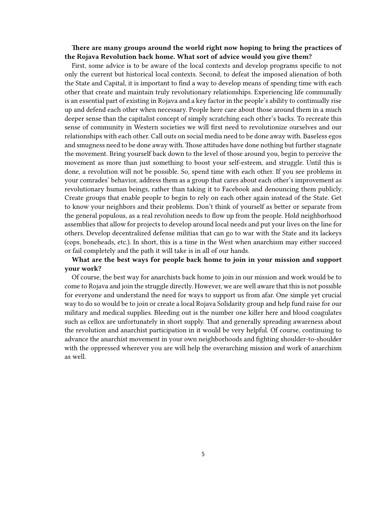## **There are many groups around the world right now hoping to bring the practices of the Rojava Revolution back home. What sort of advice would you give them?**

First, some advice is to be aware of the local contexts and develop programs specific to not only the current but historical local contexts. Second, to defeat the imposed alienation of both the State and Capital, it is important to find a way to develop means of spending time with each other that create and maintain truly revolutionary relationships. Experiencing life communally is an essential part of existing in Rojava and a key factor in the people's ability to continually rise up and defend each other when necessary. People here care about those around them in a much deeper sense than the capitalist concept of simply scratching each other's backs. To recreate this sense of community in Western societies we will first need to revolutionize ourselves and our relationships with each other. Call outs on social media need to be done away with. Baseless egos and smugness need to be done away with. Those attitudes have done nothing but further stagnate the movement. Bring yourself back down to the level of those around you, begin to perceive the movement as more than just something to boost your self-esteem, and struggle. Until this is done, a revolution will not be possible. So, spend time with each other. If you see problems in your comrades' behavior, address them as a group that cares about each other's improvement as revolutionary human beings, rather than taking it to Facebook and denouncing them publicly. Create groups that enable people to begin to rely on each other again instead of the State. Get to know your neighbors and their problems. Don't think of yourself as better or separate from the general populous, as a real revolution needs to flow up from the people. Hold neighborhood assemblies that allow for projects to develop around local needs and put your lives on the line for others. Develop decentralized defense militias that can go to war with the State and its lackeys (cops, boneheads, etc.). In short, this is a time in the West when anarchism may either succeed or fail completely and the path it will take is in all of our hands.

## **What are the best ways for people back home to join in your mission and support your work?**

Of course, the best way for anarchists back home to join in our mission and work would be to come to Rojava and join the struggle directly. However, we are well aware that this is not possible for everyone and understand the need for ways to support us from afar. One simple yet crucial way to do so would be to join or create a local Rojava Solidarity group and help fund raise for our military and medical supplies. Bleeding out is the number one killer here and blood coagulates such as cellox are unfortunately in short supply. That and generally spreading awareness about the revolution and anarchist participation in it would be very helpful. Of course, continuing to advance the anarchist movement in your own neighborhoods and fighting shoulder-to-shoulder with the oppressed wherever you are will help the overarching mission and work of anarchism as well.